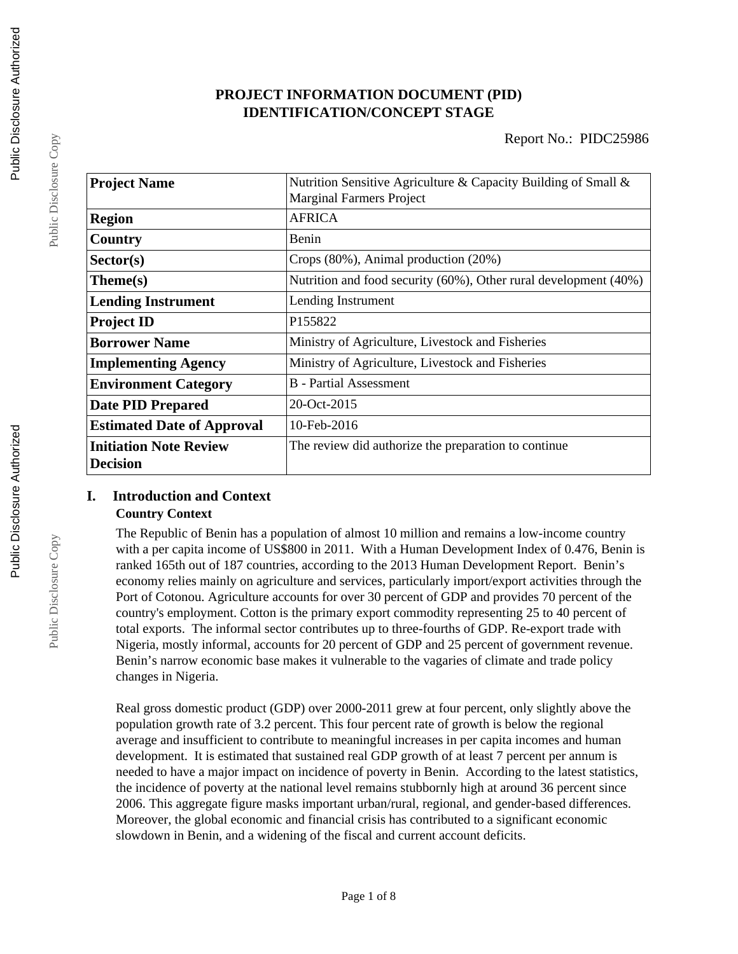# **PROJECT INFORMATION DOCUMENT (PID) IDENTIFICATION/CONCEPT STAGE**

| <b>Project Name</b>                              | Nutrition Sensitive Agriculture & Capacity Building of Small $\&$<br><b>Marginal Farmers Project</b> |  |  |
|--------------------------------------------------|------------------------------------------------------------------------------------------------------|--|--|
| <b>Region</b>                                    | <b>AFRICA</b>                                                                                        |  |  |
| Country                                          | <b>Benin</b>                                                                                         |  |  |
| Sector(s)                                        | Crops (80%), Animal production (20%)                                                                 |  |  |
| Theme(s)                                         | Nutrition and food security (60%), Other rural development (40%)                                     |  |  |
| <b>Lending Instrument</b>                        | Lending Instrument                                                                                   |  |  |
| <b>Project ID</b>                                | P155822                                                                                              |  |  |
| <b>Borrower Name</b>                             | Ministry of Agriculture, Livestock and Fisheries                                                     |  |  |
| <b>Implementing Agency</b>                       | Ministry of Agriculture, Livestock and Fisheries                                                     |  |  |
| <b>Environment Category</b>                      | B - Partial Assessment                                                                               |  |  |
| <b>Date PID Prepared</b>                         | $20$ -Oct- $2015$                                                                                    |  |  |
| <b>Estimated Date of Approval</b>                | $10$ -Feb-2016                                                                                       |  |  |
| <b>Initiation Note Review</b><br><b>Decision</b> | The review did authorize the preparation to continue                                                 |  |  |

# **I. Introduction and Context**

## **Country Context**

The Republic of Benin has a population of almost 10 million and remains a low-income country with a per capita income of US\$800 in 2011. With a Human Development Index of 0.476, Benin is ranked 165th out of 187 countries, according to the 2013 Human Development Report. Benin's economy relies mainly on agriculture and services, particularly import/export activities through the Port of Cotonou. Agriculture accounts for over 30 percent of GDP and provides 70 percent of the country's employment. Cotton is the primary export commodity representing 25 to 40 percent of total exports. The informal sector contributes up to three-fourths of GDP. Re-export trade with Nigeria, mostly informal, accounts for 20 percent of GDP and 25 percent of government revenue. Benin's narrow economic base makes it vulnerable to the vagaries of climate and trade policy changes in Nigeria.

Real gross domestic product (GDP) over 2000-2011 grew at four percent, only slightly above the population growth rate of 3.2 percent. This four percent rate of growth is below the regional average and insufficient to contribute to meaningful increases in per capita incomes and human development. It is estimated that sustained real GDP growth of at least 7 percent per annum is needed to have a major impact on incidence of poverty in Benin. According to the latest statistics, the incidence of poverty at the national level remains stubbornly high at around 36 percent since 2006. This aggregate figure masks important urban/rural, regional, and gender-based differences. Moreover, the global economic and financial crisis has contributed to a significant economic slowdown in Benin, and a widening of the fiscal and current account deficits.

Public Disclosure Copy

Public Disclosure Copy

Public Disclosure Copy

Public Disclosure Copy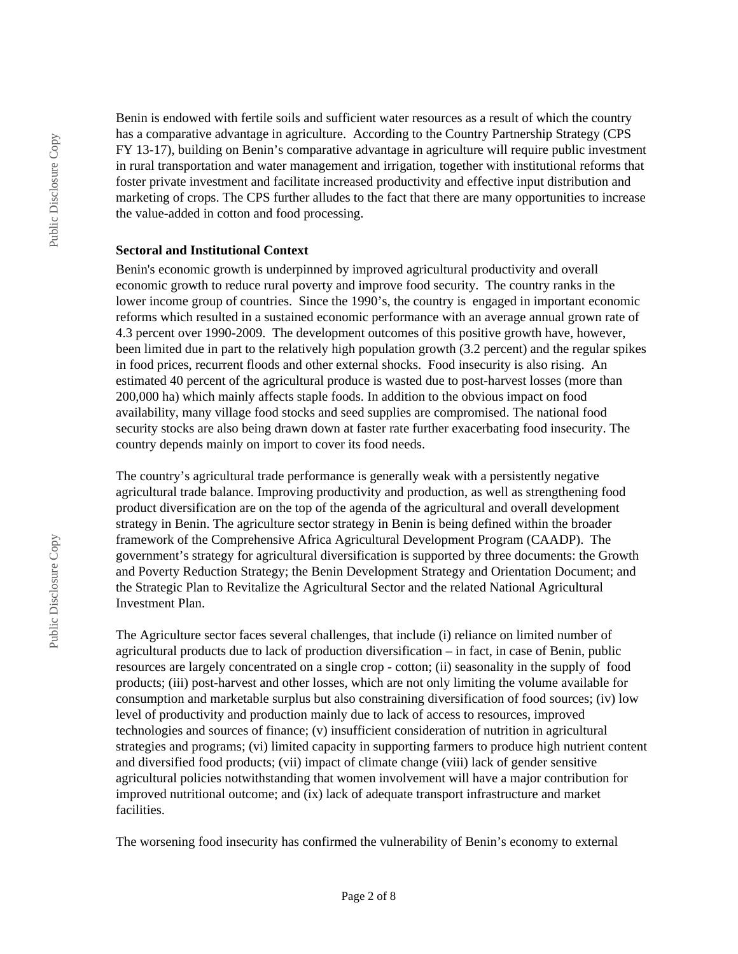Benin is endowed with fertile soils and sufficient water resources as a result of which the country has a comparative advantage in agriculture. According to the Country Partnership Strategy (CPS FY 13-17), building on Benin's comparative advantage in agriculture will require public investment in rural transportation and water management and irrigation, together with institutional reforms that foster private investment and facilitate increased productivity and effective input distribution and marketing of crops. The CPS further alludes to the fact that there are many opportunities to increase the value-added in cotton and food processing.

#### **Sectoral and Institutional Context**

Benin's economic growth is underpinned by improved agricultural productivity and overall economic growth to reduce rural poverty and improve food security. The country ranks in the lower income group of countries. Since the 1990's, the country is engaged in important economic reforms which resulted in a sustained economic performance with an average annual grown rate of 4.3 percent over 1990-2009. The development outcomes of this positive growth have, however, been limited due in part to the relatively high population growth (3.2 percent) and the regular spikes in food prices, recurrent floods and other external shocks. Food insecurity is also rising. An estimated 40 percent of the agricultural produce is wasted due to post-harvest losses (more than 200,000 ha) which mainly affects staple foods. In addition to the obvious impact on food availability, many village food stocks and seed supplies are compromised. The national food security stocks are also being drawn down at faster rate further exacerbating food insecurity. The country depends mainly on import to cover its food needs.

The country's agricultural trade performance is generally weak with a persistently negative agricultural trade balance. Improving productivity and production, as well as strengthening food product diversification are on the top of the agenda of the agricultural and overall development strategy in Benin. The agriculture sector strategy in Benin is being defined within the broader framework of the Comprehensive Africa Agricultural Development Program (CAADP). The government's strategy for agricultural diversification is supported by three documents: the Growth and Poverty Reduction Strategy; the Benin Development Strategy and Orientation Document; and the Strategic Plan to Revitalize the Agricultural Sector and the related National Agricultural Investment Plan.

The Agriculture sector faces several challenges, that include (i) reliance on limited number of agricultural products due to lack of production diversification – in fact, in case of Benin, public resources are largely concentrated on a single crop - cotton; (ii) seasonality in the supply of food products; (iii) post-harvest and other losses, which are not only limiting the volume available for consumption and marketable surplus but also constraining diversification of food sources; (iv) low level of productivity and production mainly due to lack of access to resources, improved technologies and sources of finance; (v) insufficient consideration of nutrition in agricultural strategies and programs; (vi) limited capacity in supporting farmers to produce high nutrient content and diversified food products; (vii) impact of climate change (viii) lack of gender sensitive agricultural policies notwithstanding that women involvement will have a major contribution for improved nutritional outcome; and (ix) lack of adequate transport infrastructure and market facilities.

The worsening food insecurity has confirmed the vulnerability of Benin's economy to external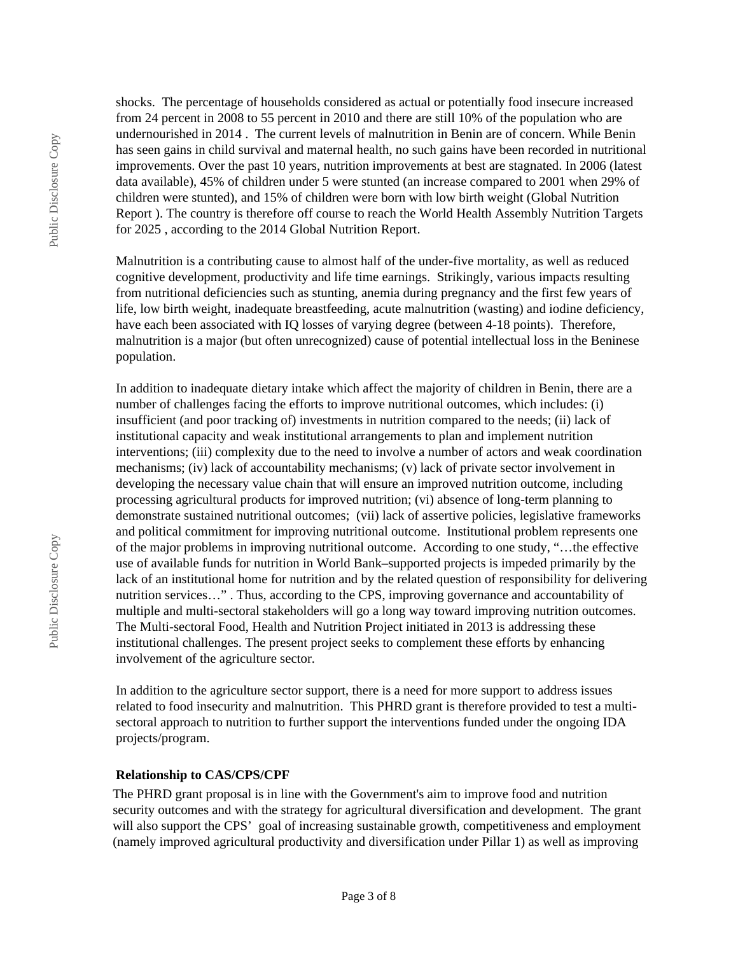shocks. The percentage of households considered as actual or potentially food insecure increased from 24 percent in 2008 to 55 percent in 2010 and there are still 10% of the population who are undernourished in 2014 . The current levels of malnutrition in Benin are of concern. While Benin has seen gains in child survival and maternal health, no such gains have been recorded in nutritional improvements. Over the past 10 years, nutrition improvements at best are stagnated. In 2006 (latest data available), 45% of children under 5 were stunted (an increase compared to 2001 when 29% of children were stunted), and 15% of children were born with low birth weight (Global Nutrition Report ). The country is therefore off course to reach the World Health Assembly Nutrition Targets for 2025 , according to the 2014 Global Nutrition Report.

Malnutrition is a contributing cause to almost half of the under-five mortality, as well as reduced cognitive development, productivity and life time earnings. Strikingly, various impacts resulting from nutritional deficiencies such as stunting, anemia during pregnancy and the first few years of life, low birth weight, inadequate breastfeeding, acute malnutrition (wasting) and iodine deficiency, have each been associated with IQ losses of varying degree (between 4-18 points). Therefore, malnutrition is a major (but often unrecognized) cause of potential intellectual loss in the Beninese population.

In addition to inadequate dietary intake which affect the majority of children in Benin, there are a number of challenges facing the efforts to improve nutritional outcomes, which includes: (i) insufficient (and poor tracking of) investments in nutrition compared to the needs; (ii) lack of institutional capacity and weak institutional arrangements to plan and implement nutrition interventions; (iii) complexity due to the need to involve a number of actors and weak coordination mechanisms; (iv) lack of accountability mechanisms; (v) lack of private sector involvement in developing the necessary value chain that will ensure an improved nutrition outcome, including processing agricultural products for improved nutrition; (vi) absence of long-term planning to demonstrate sustained nutritional outcomes; (vii) lack of assertive policies, legislative frameworks and political commitment for improving nutritional outcome. Institutional problem represents one of the major problems in improving nutritional outcome. According to one study, "…the effective use of available funds for nutrition in World Bank–supported projects is impeded primarily by the lack of an institutional home for nutrition and by the related question of responsibility for delivering nutrition services…" . Thus, according to the CPS, improving governance and accountability of multiple and multi-sectoral stakeholders will go a long way toward improving nutrition outcomes. The Multi-sectoral Food, Health and Nutrition Project initiated in 2013 is addressing these institutional challenges. The present project seeks to complement these efforts by enhancing involvement of the agriculture sector.

In addition to the agriculture sector support, there is a need for more support to address issues related to food insecurity and malnutrition. This PHRD grant is therefore provided to test a multisectoral approach to nutrition to further support the interventions funded under the ongoing IDA projects/program.

#### **Relationship to CAS/CPS/CPF**

The PHRD grant proposal is in line with the Government's aim to improve food and nutrition security outcomes and with the strategy for agricultural diversification and development. The grant will also support the CPS' goal of increasing sustainable growth, competitiveness and employment (namely improved agricultural productivity and diversification under Pillar 1) as well as improving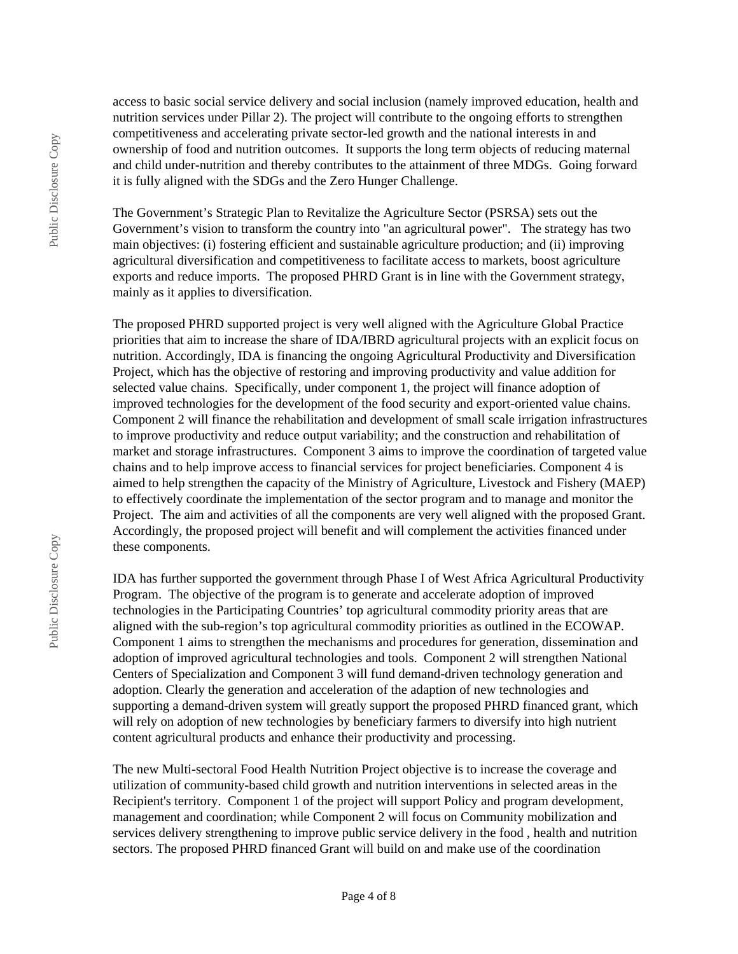access to basic social service delivery and social inclusion (namely improved education, health and nutrition services under Pillar 2). The project will contribute to the ongoing efforts to strengthen competitiveness and accelerating private sector-led growth and the national interests in and ownership of food and nutrition outcomes. It supports the long term objects of reducing maternal and child under-nutrition and thereby contributes to the attainment of three MDGs. Going forward it is fully aligned with the SDGs and the Zero Hunger Challenge.

The Government's Strategic Plan to Revitalize the Agriculture Sector (PSRSA) sets out the Government's vision to transform the country into "an agricultural power". The strategy has two main objectives: (i) fostering efficient and sustainable agriculture production; and (ii) improving agricultural diversification and competitiveness to facilitate access to markets, boost agriculture exports and reduce imports. The proposed PHRD Grant is in line with the Government strategy, mainly as it applies to diversification.

The proposed PHRD supported project is very well aligned with the Agriculture Global Practice priorities that aim to increase the share of IDA/IBRD agricultural projects with an explicit focus on nutrition. Accordingly, IDA is financing the ongoing Agricultural Productivity and Diversification Project, which has the objective of restoring and improving productivity and value addition for selected value chains. Specifically, under component 1, the project will finance adoption of improved technologies for the development of the food security and export-oriented value chains. Component 2 will finance the rehabilitation and development of small scale irrigation infrastructures to improve productivity and reduce output variability; and the construction and rehabilitation of market and storage infrastructures. Component 3 aims to improve the coordination of targeted value chains and to help improve access to financial services for project beneficiaries. Component 4 is aimed to help strengthen the capacity of the Ministry of Agriculture, Livestock and Fishery (MAEP) to effectively coordinate the implementation of the sector program and to manage and monitor the Project. The aim and activities of all the components are very well aligned with the proposed Grant. Accordingly, the proposed project will benefit and will complement the activities financed under these components.

IDA has further supported the government through Phase I of West Africa Agricultural Productivity Program. The objective of the program is to generate and accelerate adoption of improved technologies in the Participating Countries' top agricultural commodity priority areas that are aligned with the sub-region's top agricultural commodity priorities as outlined in the ECOWAP. Component 1 aims to strengthen the mechanisms and procedures for generation, dissemination and adoption of improved agricultural technologies and tools. Component 2 will strengthen National Centers of Specialization and Component 3 will fund demand-driven technology generation and adoption. Clearly the generation and acceleration of the adaption of new technologies and supporting a demand-driven system will greatly support the proposed PHRD financed grant, which will rely on adoption of new technologies by beneficiary farmers to diversify into high nutrient content agricultural products and enhance their productivity and processing.

The new Multi-sectoral Food Health Nutrition Project objective is to increase the coverage and utilization of community-based child growth and nutrition interventions in selected areas in the Recipient's territory. Component 1 of the project will support Policy and program development, management and coordination; while Component 2 will focus on Community mobilization and services delivery strengthening to improve public service delivery in the food , health and nutrition sectors. The proposed PHRD financed Grant will build on and make use of the coordination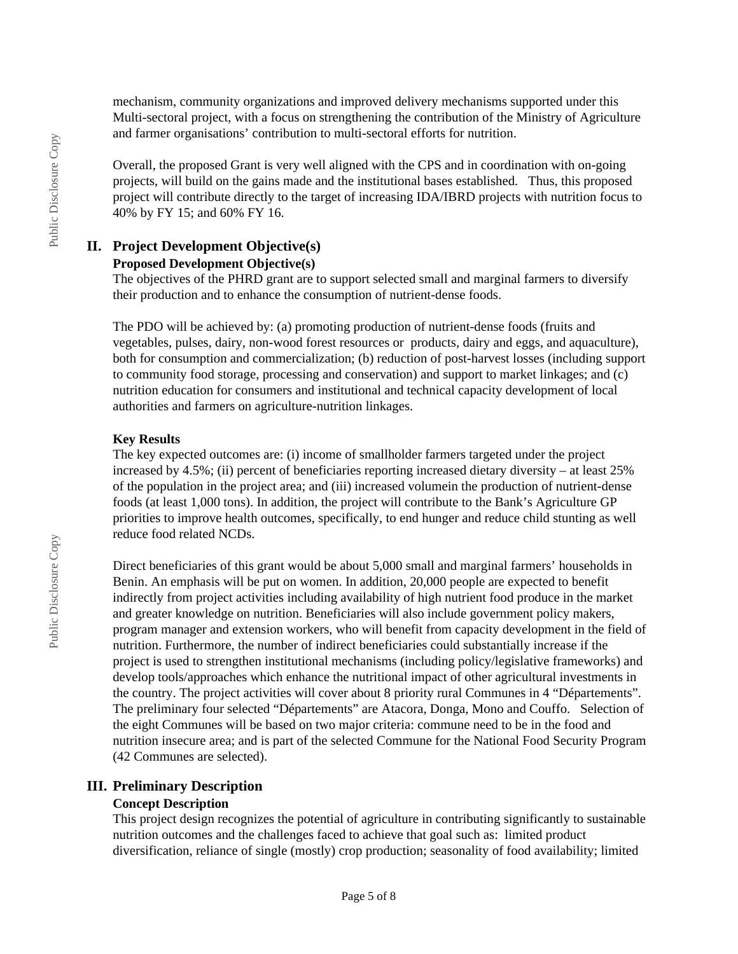mechanism, community organizations and improved delivery mechanisms supported under this Multi-sectoral project, with a focus on strengthening the contribution of the Ministry of Agriculture and farmer organisations' contribution to multi-sectoral efforts for nutrition.

Overall, the proposed Grant is very well aligned with the CPS and in coordination with on-going projects, will build on the gains made and the institutional bases established. Thus, this proposed project will contribute directly to the target of increasing IDA/IBRD projects with nutrition focus to 40% by FY 15; and 60% FY 16.

# **II. Project Development Objective(s)**

#### **Proposed Development Objective(s)**

The objectives of the PHRD grant are to support selected small and marginal farmers to diversify their production and to enhance the consumption of nutrient-dense foods.

The PDO will be achieved by: (a) promoting production of nutrient-dense foods (fruits and vegetables, pulses, dairy, non-wood forest resources or products, dairy and eggs, and aquaculture), both for consumption and commercialization; (b) reduction of post-harvest losses (including support to community food storage, processing and conservation) and support to market linkages; and (c) nutrition education for consumers and institutional and technical capacity development of local authorities and farmers on agriculture-nutrition linkages.

#### **Key Results**

The key expected outcomes are: (i) income of smallholder farmers targeted under the project increased by 4.5%; (ii) percent of beneficiaries reporting increased dietary diversity – at least 25% of the population in the project area; and (iii) increased volumein the production of nutrient-dense foods (at least 1,000 tons). In addition, the project will contribute to the Bank's Agriculture GP priorities to improve health outcomes, specifically, to end hunger and reduce child stunting as well reduce food related NCDs.

Direct beneficiaries of this grant would be about 5,000 small and marginal farmers' households in Benin. An emphasis will be put on women. In addition, 20,000 people are expected to benefit indirectly from project activities including availability of high nutrient food produce in the market and greater knowledge on nutrition. Beneficiaries will also include government policy makers, program manager and extension workers, who will benefit from capacity development in the field of nutrition. Furthermore, the number of indirect beneficiaries could substantially increase if the project is used to strengthen institutional mechanisms (including policy/legislative frameworks) and develop tools/approaches which enhance the nutritional impact of other agricultural investments in the country. The project activities will cover about 8 priority rural Communes in 4 "Départements". The preliminary four selected "Départements" are Atacora, Donga, Mono and Couffo. Selection of the eight Communes will be based on two major criteria: commune need to be in the food and nutrition insecure area; and is part of the selected Commune for the National Food Security Program (42 Communes are selected).

#### **III. Preliminary Description**

#### **Concept Description**

This project design recognizes the potential of agriculture in contributing significantly to sustainable nutrition outcomes and the challenges faced to achieve that goal such as: limited product diversification, reliance of single (mostly) crop production; seasonality of food availability; limited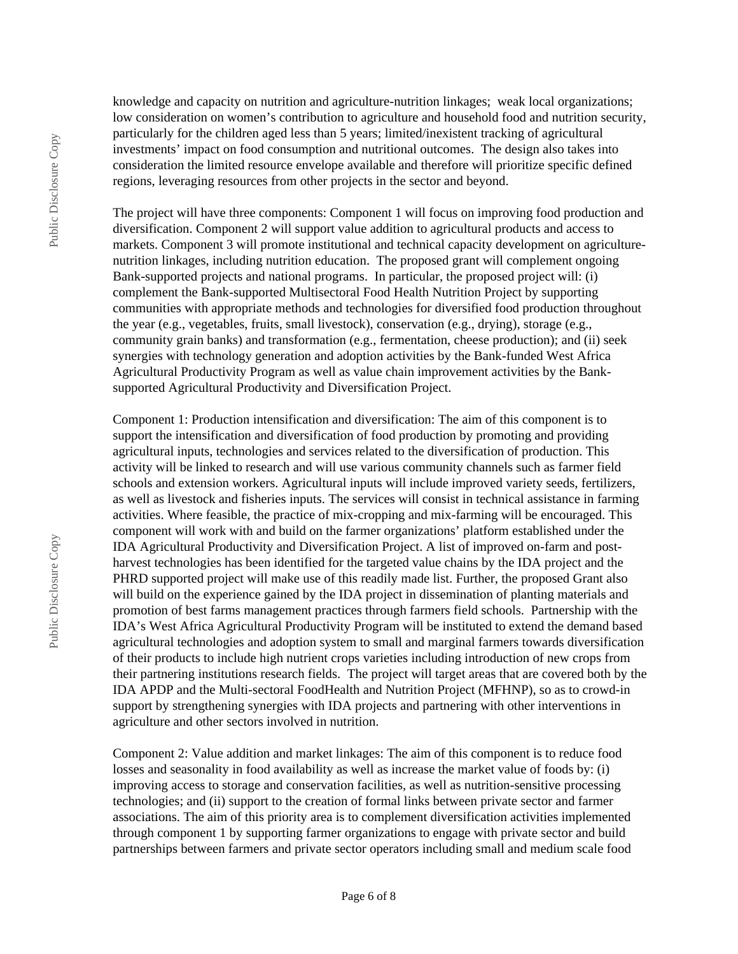knowledge and capacity on nutrition and agriculture-nutrition linkages; weak local organizations; low consideration on women's contribution to agriculture and household food and nutrition security, particularly for the children aged less than 5 years; limited/inexistent tracking of agricultural investments' impact on food consumption and nutritional outcomes. The design also takes into consideration the limited resource envelope available and therefore will prioritize specific defined regions, leveraging resources from other projects in the sector and beyond.

The project will have three components: Component 1 will focus on improving food production and diversification. Component 2 will support value addition to agricultural products and access to markets. Component 3 will promote institutional and technical capacity development on agriculturenutrition linkages, including nutrition education. The proposed grant will complement ongoing Bank-supported projects and national programs. In particular, the proposed project will: (i) complement the Bank-supported Multisectoral Food Health Nutrition Project by supporting communities with appropriate methods and technologies for diversified food production throughout the year (e.g., vegetables, fruits, small livestock), conservation (e.g., drying), storage (e.g., community grain banks) and transformation (e.g., fermentation, cheese production); and (ii) seek synergies with technology generation and adoption activities by the Bank-funded West Africa Agricultural Productivity Program as well as value chain improvement activities by the Banksupported Agricultural Productivity and Diversification Project.

Component 1: Production intensification and diversification: The aim of this component is to support the intensification and diversification of food production by promoting and providing agricultural inputs, technologies and services related to the diversification of production. This activity will be linked to research and will use various community channels such as farmer field schools and extension workers. Agricultural inputs will include improved variety seeds, fertilizers, as well as livestock and fisheries inputs. The services will consist in technical assistance in farming activities. Where feasible, the practice of mix-cropping and mix-farming will be encouraged. This component will work with and build on the farmer organizations' platform established under the IDA Agricultural Productivity and Diversification Project. A list of improved on-farm and postharvest technologies has been identified for the targeted value chains by the IDA project and the PHRD supported project will make use of this readily made list. Further, the proposed Grant also will build on the experience gained by the IDA project in dissemination of planting materials and promotion of best farms management practices through farmers field schools. Partnership with the IDA's West Africa Agricultural Productivity Program will be instituted to extend the demand based agricultural technologies and adoption system to small and marginal farmers towards diversification of their products to include high nutrient crops varieties including introduction of new crops from their partnering institutions research fields. The project will target areas that are covered both by the IDA APDP and the Multi-sectoral FoodHealth and Nutrition Project (MFHNP), so as to crowd-in support by strengthening synergies with IDA projects and partnering with other interventions in agriculture and other sectors involved in nutrition.

Component 2: Value addition and market linkages: The aim of this component is to reduce food losses and seasonality in food availability as well as increase the market value of foods by: (i) improving access to storage and conservation facilities, as well as nutrition-sensitive processing technologies; and (ii) support to the creation of formal links between private sector and farmer associations. The aim of this priority area is to complement diversification activities implemented through component 1 by supporting farmer organizations to engage with private sector and build partnerships between farmers and private sector operators including small and medium scale food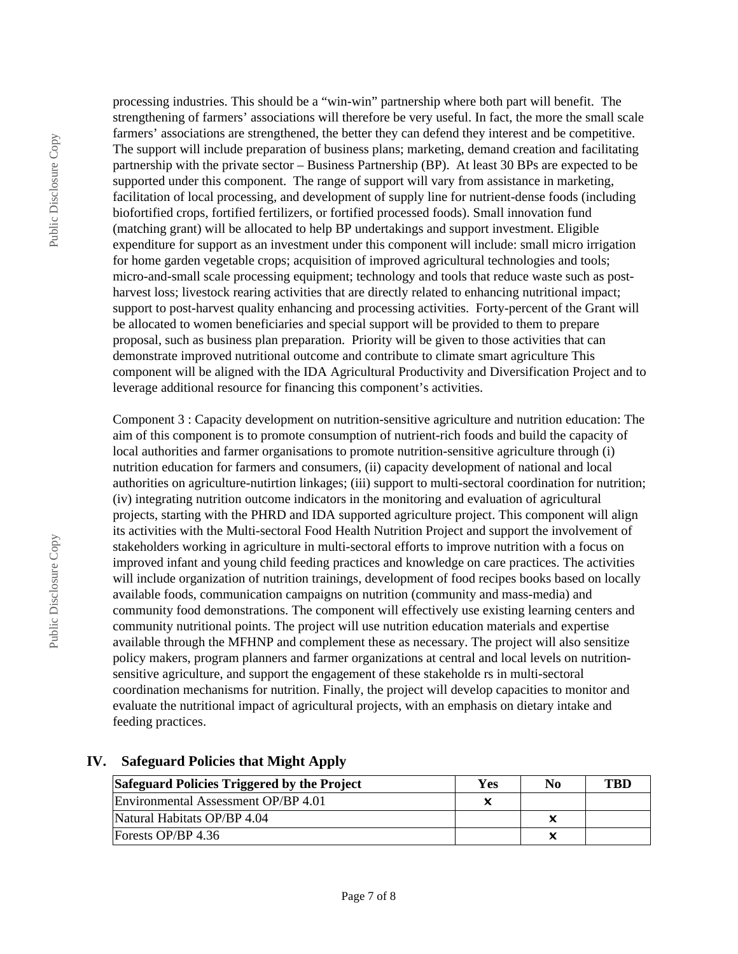Public Disclosure Copy Public Disclosure Copy

processing industries. This should be a "win-win" partnership where both part will benefit. The strengthening of farmers' associations will therefore be very useful. In fact, the more the small scale farmers' associations are strengthened, the better they can defend they interest and be competitive. The support will include preparation of business plans; marketing, demand creation and facilitating partnership with the private sector – Business Partnership (BP). At least 30 BPs are expected to be supported under this component. The range of support will vary from assistance in marketing, facilitation of local processing, and development of supply line for nutrient-dense foods (including biofortified crops, fortified fertilizers, or fortified processed foods). Small innovation fund (matching grant) will be allocated to help BP undertakings and support investment. Eligible expenditure for support as an investment under this component will include: small micro irrigation for home garden vegetable crops; acquisition of improved agricultural technologies and tools; micro-and-small scale processing equipment; technology and tools that reduce waste such as postharvest loss; livestock rearing activities that are directly related to enhancing nutritional impact; support to post-harvest quality enhancing and processing activities. Forty-percent of the Grant will be allocated to women beneficiaries and special support will be provided to them to prepare proposal, such as business plan preparation. Priority will be given to those activities that can demonstrate improved nutritional outcome and contribute to climate smart agriculture This component will be aligned with the IDA Agricultural Productivity and Diversification Project and to leverage additional resource for financing this component's activities.

Component 3 : Capacity development on nutrition-sensitive agriculture and nutrition education: The aim of this component is to promote consumption of nutrient-rich foods and build the capacity of local authorities and farmer organisations to promote nutrition-sensitive agriculture through (i) nutrition education for farmers and consumers, (ii) capacity development of national and local authorities on agriculture-nutirtion linkages; (iii) support to multi-sectoral coordination for nutrition; (iv) integrating nutrition outcome indicators in the monitoring and evaluation of agricultural projects, starting with the PHRD and IDA supported agriculture project. This component will align its activities with the Multi-sectoral Food Health Nutrition Project and support the involvement of stakeholders working in agriculture in multi-sectoral efforts to improve nutrition with a focus on improved infant and young child feeding practices and knowledge on care practices. The activities will include organization of nutrition trainings, development of food recipes books based on locally available foods, communication campaigns on nutrition (community and mass-media) and community food demonstrations. The component will effectively use existing learning centers and community nutritional points. The project will use nutrition education materials and expertise available through the MFHNP and complement these as necessary. The project will also sensitize policy makers, program planners and farmer organizations at central and local levels on nutritionsensitive agriculture, and support the engagement of these stakeholde rs in multi-sectoral coordination mechanisms for nutrition. Finally, the project will develop capacities to monitor and evaluate the nutritional impact of agricultural projects, with an emphasis on dietary intake and feeding practices.

# **IV. Safeguard Policies that Might Apply**

| Safeguard Policies Triggered by the Project | Yes | No | TBD |
|---------------------------------------------|-----|----|-----|
| Environmental Assessment OP/BP 4.01         |     |    |     |
| Natural Habitats OP/BP 4.04                 |     |    |     |
| Forests OP/BP 4.36                          |     |    |     |